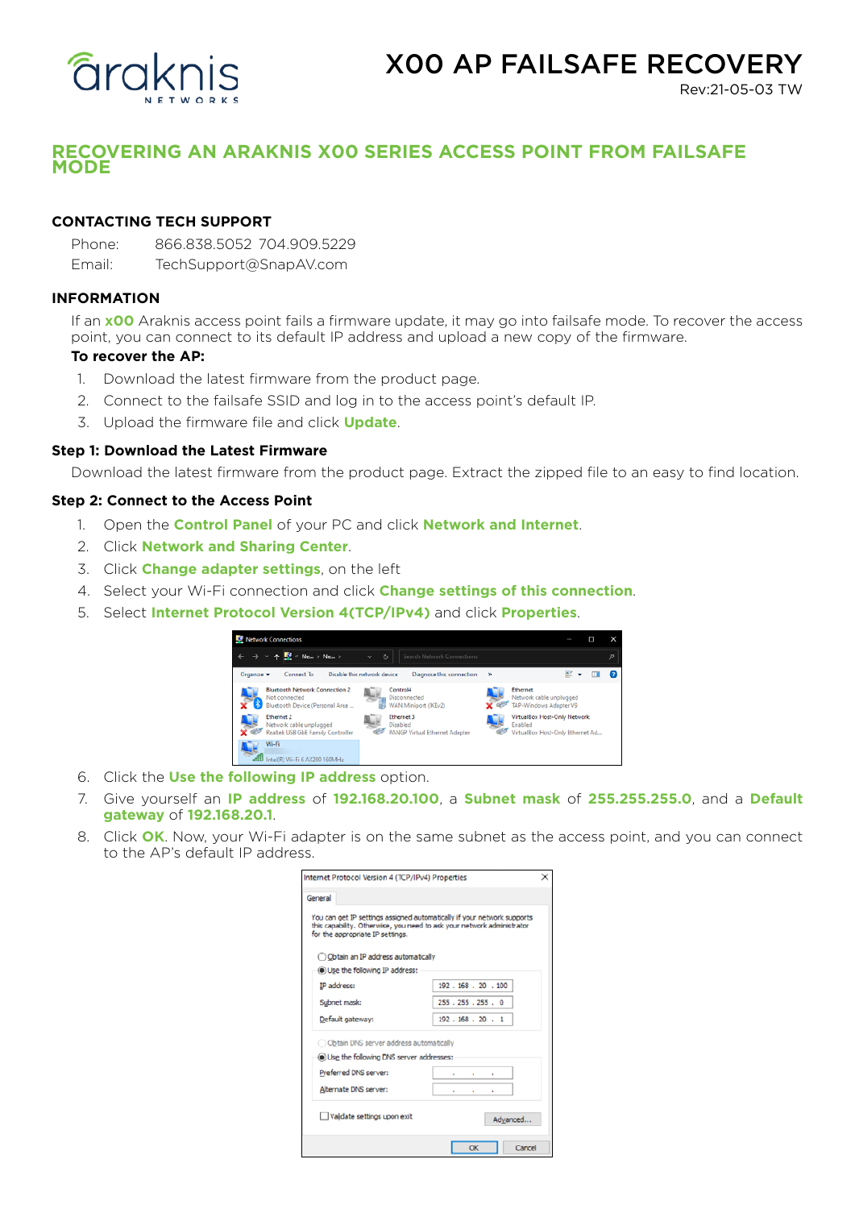

# X00 AP FAILSAFE RECOVERY

Rev:21-05-03 TW

# **RECOVERING AN ARAKNIS X00 SERIES ACCESS POINT FROM FAILSAFE MODE**

# **CONTACTING TECH SUPPORT**

Phone: 866.838.5052 704.909.5229 Email: TechSupport@SnapAV.com

### **INFORMATION**

If an **x00** Araknis access point fails a firmware update, it may go into failsafe mode. To recover the access point, you can connect to its default IP address and upload a new copy of the firmware.

#### **To recover the AP:**

- 1. Download the latest firmware from the product page.
- 2. Connect to the failsafe SSID and log in to the access point's default IP.
- 3. Upload the firmware file and click **Update**.

#### **Step 1: Download the Latest Firmware**

Download the latest firmware from the product page. Extract the zipped file to an easy to find location.

#### **Step 2: Connect to the Access Point**

- 1. Open the **Control Panel** of your PC and click **Network and Internet**.
- 2. Click **Network and Sharing Center**.
- 3. Click **Change adapter settings**, on the left
- 4. Select your Wi-Fi connection and click **Change settings of this connection**.
- 5. Select **Internet Protocol Version 4(TCP/IPv4)** and click **Properties**.



- 6. Click the **Use the following IP address** option.
- 7. Give yourself an **IP address** of **192.168.20.100**, a **Subnet mask** of **255.255.255.0**, and a **Default gateway** of **192.168.20.1**.
- 8. Click **OK**. Now, your Wi-Fi adapter is on the same subnet as the access point, and you can connect to the AP's default IP address.

| Internet Protocol Version 4 (TCP/IPv4) Properties<br>×                                                                                                                                                                        |                     |
|-------------------------------------------------------------------------------------------------------------------------------------------------------------------------------------------------------------------------------|---------------------|
| General                                                                                                                                                                                                                       |                     |
| You can get IP settings assigned automatically if your network supports<br>this capability. Otherwise, you need to ask your network administrator<br>for the appropriate IP settings.<br>O Obtain an IP address automatically |                     |
|                                                                                                                                                                                                                               |                     |
| IP address:                                                                                                                                                                                                                   | 192.168.20.100      |
| Subnet mask:                                                                                                                                                                                                                  | 255 . 255 . 255 . 0 |
| Default gateway:                                                                                                                                                                                                              | 192.168.20.1        |
| Obtain DNS server address automatically                                                                                                                                                                                       |                     |
| <b>O Use the following DNS server addresses:</b>                                                                                                                                                                              |                     |
| Preferred DNS server:                                                                                                                                                                                                         |                     |
| Alternate DNS server:                                                                                                                                                                                                         |                     |
| Validate settings upon exit                                                                                                                                                                                                   | Advanced            |
|                                                                                                                                                                                                                               | OK<br>Cancel        |